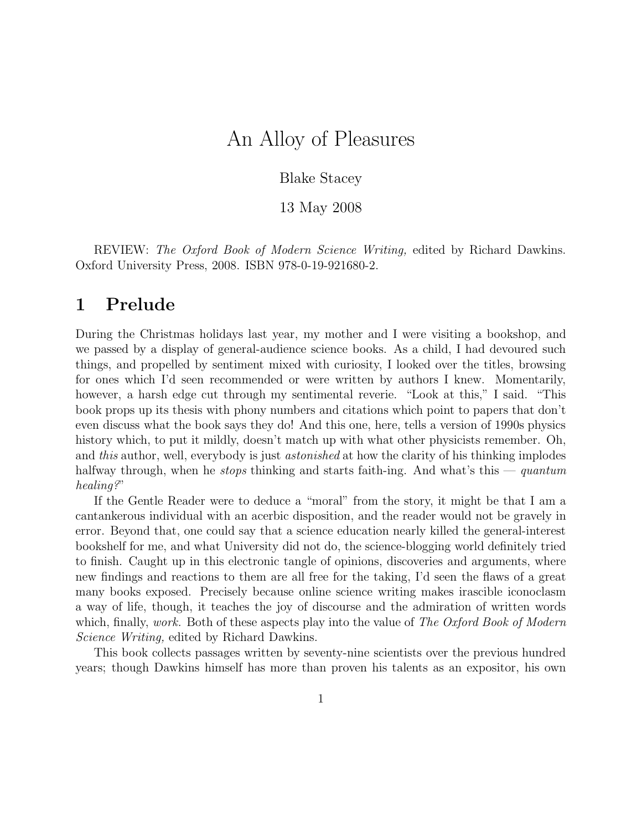# An Alloy of Pleasures

#### Blake Stacey

13 May 2008

REVIEW: The Oxford Book of Modern Science Writing, edited by Richard Dawkins. Oxford University Press, 2008. ISBN 978-0-19-921680-2.

#### 1 Prelude

During the Christmas holidays last year, my mother and I were visiting a bookshop, and we passed by a display of general-audience science books. As a child, I had devoured such things, and propelled by sentiment mixed with curiosity, I looked over the titles, browsing for ones which I'd seen recommended or were written by authors I knew. Momentarily, however, a harsh edge cut through my sentimental reverie. "Look at this," I said. "This book props up its thesis with phony numbers and citations which point to papers that don't even discuss what the book says they do! And this one, here, tells a version of 1990s physics history which, to put it mildly, doesn't match up with what other physicists remember. Oh, and this author, well, everybody is just *astonished* at how the clarity of his thinking implodes halfway through, when he *stops* thinking and starts faith-ing. And what's this — quantum healing?"

If the Gentle Reader were to deduce a "moral" from the story, it might be that I am a cantankerous individual with an acerbic disposition, and the reader would not be gravely in error. Beyond that, one could say that a science education nearly killed the general-interest bookshelf for me, and what University did not do, the science-blogging world definitely tried to finish. Caught up in this electronic tangle of opinions, discoveries and arguments, where new findings and reactions to them are all free for the taking, I'd seen the flaws of a great many books exposed. Precisely because online science writing makes irascible iconoclasm a way of life, though, it teaches the joy of discourse and the admiration of written words which, finally, work. Both of these aspects play into the value of The Oxford Book of Modern Science Writing, edited by Richard Dawkins.

This book collects passages written by seventy-nine scientists over the previous hundred years; though Dawkins himself has more than proven his talents as an expositor, his own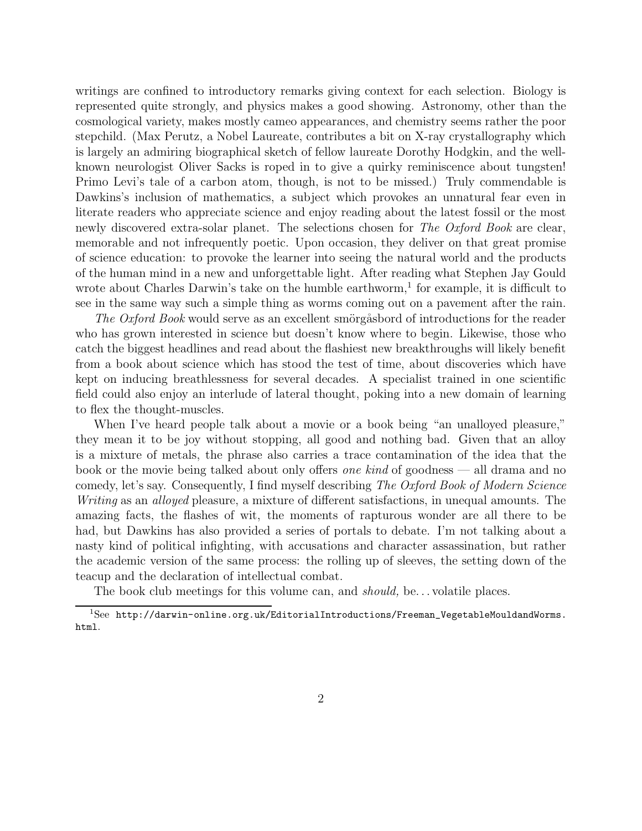writings are confined to introductory remarks giving context for each selection. Biology is represented quite strongly, and physics makes a good showing. Astronomy, other than the cosmological variety, makes mostly cameo appearances, and chemistry seems rather the poor stepchild. (Max Perutz, a Nobel Laureate, contributes a bit on X-ray crystallography which is largely an admiring biographical sketch of fellow laureate Dorothy Hodgkin, and the wellknown neurologist Oliver Sacks is roped in to give a quirky reminiscence about tungsten! Primo Levi's tale of a carbon atom, though, is not to be missed.) Truly commendable is Dawkins's inclusion of mathematics, a subject which provokes an unnatural fear even in literate readers who appreciate science and enjoy reading about the latest fossil or the most newly discovered extra-solar planet. The selections chosen for The Oxford Book are clear, memorable and not infrequently poetic. Upon occasion, they deliver on that great promise of science education: to provoke the learner into seeing the natural world and the products of the human mind in a new and unforgettable light. After reading what Stephen Jay Gould wrote about Charles Darwin's take on the humble earthworm,<sup>1</sup> for example, it is difficult to see in the same way such a simple thing as worms coming out on a pavement after the rain.

The Oxford Book would serve as an excellent smörgåsbord of introductions for the reader who has grown interested in science but doesn't know where to begin. Likewise, those who catch the biggest headlines and read about the flashiest new breakthroughs will likely benefit from a book about science which has stood the test of time, about discoveries which have kept on inducing breathlessness for several decades. A specialist trained in one scientific field could also enjoy an interlude of lateral thought, poking into a new domain of learning to flex the thought-muscles.

When I've heard people talk about a movie or a book being "an unalloyed pleasure," they mean it to be joy without stopping, all good and nothing bad. Given that an alloy is a mixture of metals, the phrase also carries a trace contamination of the idea that the book or the movie being talked about only offers one kind of goodness — all drama and no comedy, let's say. Consequently, I find myself describing The Oxford Book of Modern Science Writing as an *alloyed* pleasure, a mixture of different satisfactions, in unequal amounts. The amazing facts, the flashes of wit, the moments of rapturous wonder are all there to be had, but Dawkins has also provided a series of portals to debate. I'm not talking about a nasty kind of political infighting, with accusations and character assassination, but rather the academic version of the same process: the rolling up of sleeves, the setting down of the teacup and the declaration of intellectual combat.

The book club meetings for this volume can, and *should*, be... volatile places.

 $1$ See http://darwin-online.org.uk/EditorialIntroductions/Freeman\_VegetableMouldandWorms. html.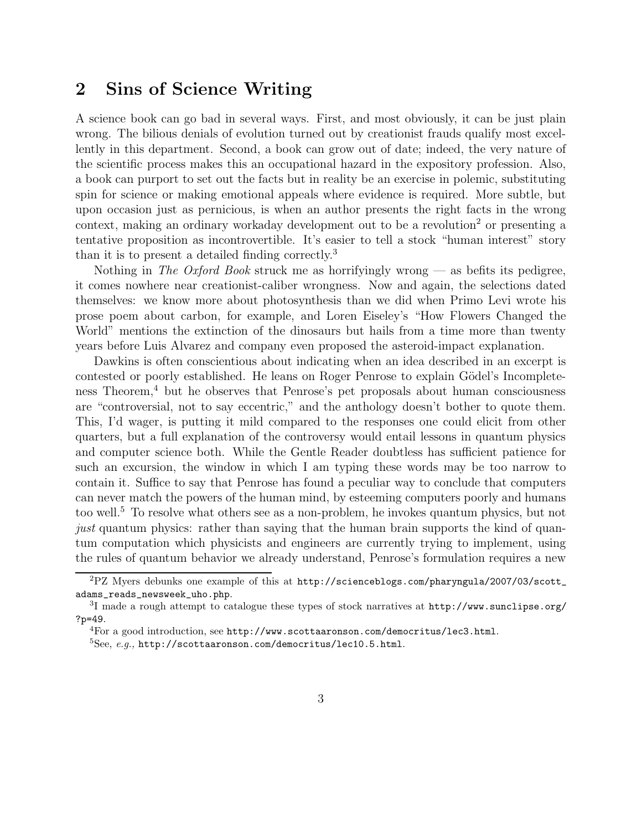### 2 Sins of Science Writing

A science book can go bad in several ways. First, and most obviously, it can be just plain wrong. The bilious denials of evolution turned out by creationist frauds qualify most excellently in this department. Second, a book can grow out of date; indeed, the very nature of the scientific process makes this an occupational hazard in the expository profession. Also, a book can purport to set out the facts but in reality be an exercise in polemic, substituting spin for science or making emotional appeals where evidence is required. More subtle, but upon occasion just as pernicious, is when an author presents the right facts in the wrong context, making an ordinary workaday development out to be a revolution<sup>2</sup> or presenting a tentative proposition as incontrovertible. It's easier to tell a stock "human interest" story than it is to present a detailed finding correctly.<sup>3</sup>

Nothing in The Oxford Book struck me as horrifyingly wrong  $-$  as befits its pedigree, it comes nowhere near creationist-caliber wrongness. Now and again, the selections dated themselves: we know more about photosynthesis than we did when Primo Levi wrote his prose poem about carbon, for example, and Loren Eiseley's "How Flowers Changed the World" mentions the extinction of the dinosaurs but hails from a time more than twenty years before Luis Alvarez and company even proposed the asteroid-impact explanation.

Dawkins is often conscientious about indicating when an idea described in an excerpt is contested or poorly established. He leans on Roger Penrose to explain Gödel's Incompleteness Theorem,<sup>4</sup> but he observes that Penrose's pet proposals about human consciousness are "controversial, not to say eccentric," and the anthology doesn't bother to quote them. This, I'd wager, is putting it mild compared to the responses one could elicit from other quarters, but a full explanation of the controversy would entail lessons in quantum physics and computer science both. While the Gentle Reader doubtless has sufficient patience for such an excursion, the window in which I am typing these words may be too narrow to contain it. Suffice to say that Penrose has found a peculiar way to conclude that computers can never match the powers of the human mind, by esteeming computers poorly and humans too well.<sup>5</sup> To resolve what others see as a non-problem, he invokes quantum physics, but not just quantum physics: rather than saying that the human brain supports the kind of quantum computation which physicists and engineers are currently trying to implement, using the rules of quantum behavior we already understand, Penrose's formulation requires a new

 ${}^{2}PZ$  Myers debunks one example of this at http://scienceblogs.com/pharyngula/2007/03/scott\_ adams\_reads\_newsweek\_uho.php.

<sup>&</sup>lt;sup>3</sup>I made a rough attempt to catalogue these types of stock narratives at http://www.sunclipse.org/ ?p=49.

 ${}^{4}$ For a good introduction, see http://www.scottaaronson.com/democritus/lec3.html.

 ${}^{5}$ See, e.g., http://scottaaronson.com/democritus/lec10.5.html.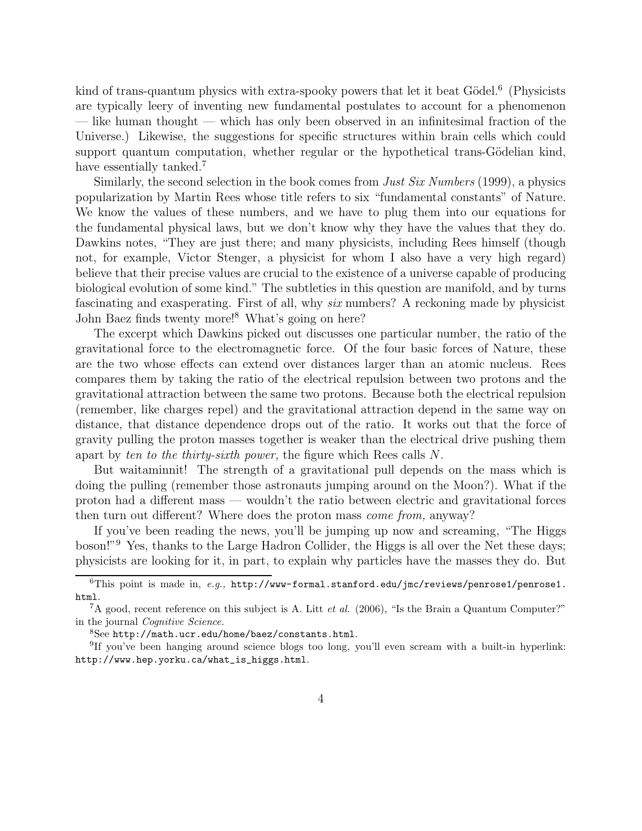kind of trans-quantum physics with extra-spooky powers that let it beat Gödel.<sup>6</sup> (Physicists are typically leery of inventing new fundamental postulates to account for a phenomenon — like human thought — which has only been observed in an infinitesimal fraction of the Universe.) Likewise, the suggestions for specific structures within brain cells which could support quantum computation, whether regular or the hypothetical trans-Gödelian kind, have essentially tanked.<sup>7</sup>

Similarly, the second selection in the book comes from *Just Six Numbers* (1999), a physics popularization by Martin Rees whose title refers to six "fundamental constants" of Nature. We know the values of these numbers, and we have to plug them into our equations for the fundamental physical laws, but we don't know why they have the values that they do. Dawkins notes, "They are just there; and many physicists, including Rees himself (though not, for example, Victor Stenger, a physicist for whom I also have a very high regard) believe that their precise values are crucial to the existence of a universe capable of producing biological evolution of some kind." The subtleties in this question are manifold, and by turns fascinating and exasperating. First of all, why six numbers? A reckoning made by physicist John Baez finds twenty more!<sup>8</sup> What's going on here?

The excerpt which Dawkins picked out discusses one particular number, the ratio of the gravitational force to the electromagnetic force. Of the four basic forces of Nature, these are the two whose effects can extend over distances larger than an atomic nucleus. Rees compares them by taking the ratio of the electrical repulsion between two protons and the gravitational attraction between the same two protons. Because both the electrical repulsion (remember, like charges repel) and the gravitational attraction depend in the same way on distance, that distance dependence drops out of the ratio. It works out that the force of gravity pulling the proton masses together is weaker than the electrical drive pushing them apart by ten to the thirty-sixth power, the figure which Rees calls N.

But waitaminnit! The strength of a gravitational pull depends on the mass which is doing the pulling (remember those astronauts jumping around on the Moon?). What if the proton had a different mass — wouldn't the ratio between electric and gravitational forces then turn out different? Where does the proton mass come from, anyway?

If you've been reading the news, you'll be jumping up now and screaming, "The Higgs boson!"<sup>9</sup> Yes, thanks to the Large Hadron Collider, the Higgs is all over the Net these days; physicists are looking for it, in part, to explain why particles have the masses they do. But

<sup>8</sup>See http://math.ucr.edu/home/baez/constants.html.

 ${}^{6}$ This point is made in, e.g., http://www-formal.stanford.edu/jmc/reviews/penrose1/penrose1. html.

<sup>&</sup>lt;sup>7</sup>A good, recent reference on this subject is A. Litt *et al.* (2006), "Is the Brain a Quantum Computer?" in the journal Cognitive Science.

<sup>&</sup>lt;sup>9</sup>If you've been hanging around science blogs too long, you'll even scream with a built-in hyperlink: http://www.hep.yorku.ca/what\_is\_higgs.html.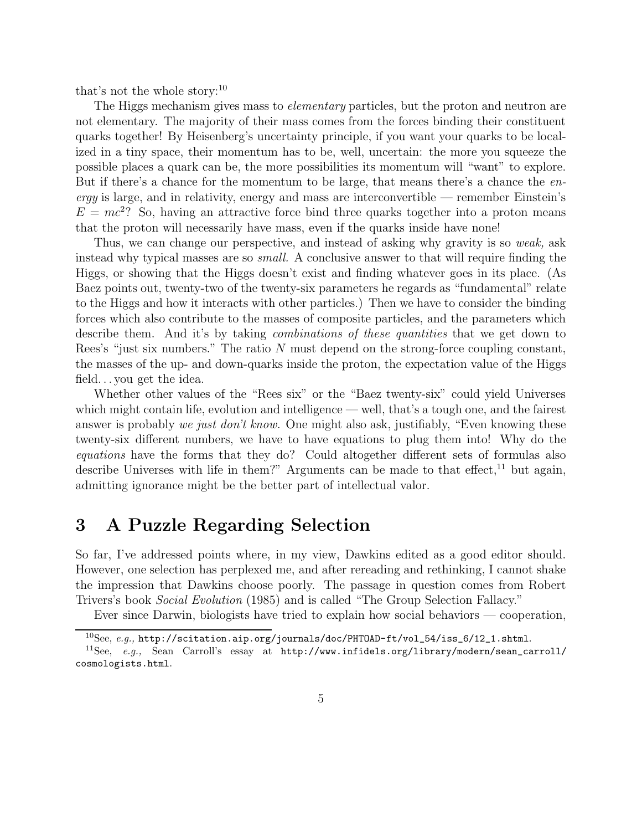that's not the whole story: $^{10}$ 

The Higgs mechanism gives mass to *elementary* particles, but the proton and neutron are not elementary. The majority of their mass comes from the forces binding their constituent quarks together! By Heisenberg's uncertainty principle, if you want your quarks to be localized in a tiny space, their momentum has to be, well, uncertain: the more you squeeze the possible places a quark can be, the more possibilities its momentum will "want" to explore. But if there's a chance for the momentum to be large, that means there's a chance the en- $\epsilon$ rgy is large, and in relativity, energy and mass are interconvertible — remember Einstein's  $E = mc^2$ ? So, having an attractive force bind three quarks together into a proton means that the proton will necessarily have mass, even if the quarks inside have none!

Thus, we can change our perspective, and instead of asking why gravity is so *weak*, ask instead why typical masses are so *small*. A conclusive answer to that will require finding the Higgs, or showing that the Higgs doesn't exist and finding whatever goes in its place. (As Baez points out, twenty-two of the twenty-six parameters he regards as "fundamental" relate to the Higgs and how it interacts with other particles.) Then we have to consider the binding forces which also contribute to the masses of composite particles, and the parameters which describe them. And it's by taking *combinations of these quantities* that we get down to Rees's "just six numbers." The ratio N must depend on the strong-force coupling constant, the masses of the up- and down-quarks inside the proton, the expectation value of the Higgs field. . . you get the idea.

Whether other values of the "Rees six" or the "Baez twenty-six" could yield Universes which might contain life, evolution and intelligence — well, that's a tough one, and the fairest answer is probably we just don't know. One might also ask, justifiably, "Even knowing these twenty-six different numbers, we have to have equations to plug them into! Why do the equations have the forms that they do? Could altogether different sets of formulas also describe Universes with life in them?" Arguments can be made to that effect,<sup>11</sup> but again, admitting ignorance might be the better part of intellectual valor.

### 3 A Puzzle Regarding Selection

So far, I've addressed points where, in my view, Dawkins edited as a good editor should. However, one selection has perplexed me, and after rereading and rethinking, I cannot shake the impression that Dawkins choose poorly. The passage in question comes from Robert Trivers's book Social Evolution (1985) and is called "The Group Selection Fallacy."

Ever since Darwin, biologists have tried to explain how social behaviors — cooperation,

 $10$ See, e.g., http://scitation.aip.org/journals/doc/PHTOAD-ft/vol\_54/iss\_6/12\_1.shtml.

 $11$ See, e.g., Sean Carroll's essay at http://www.infidels.org/library/modern/sean\_carroll/ cosmologists.html.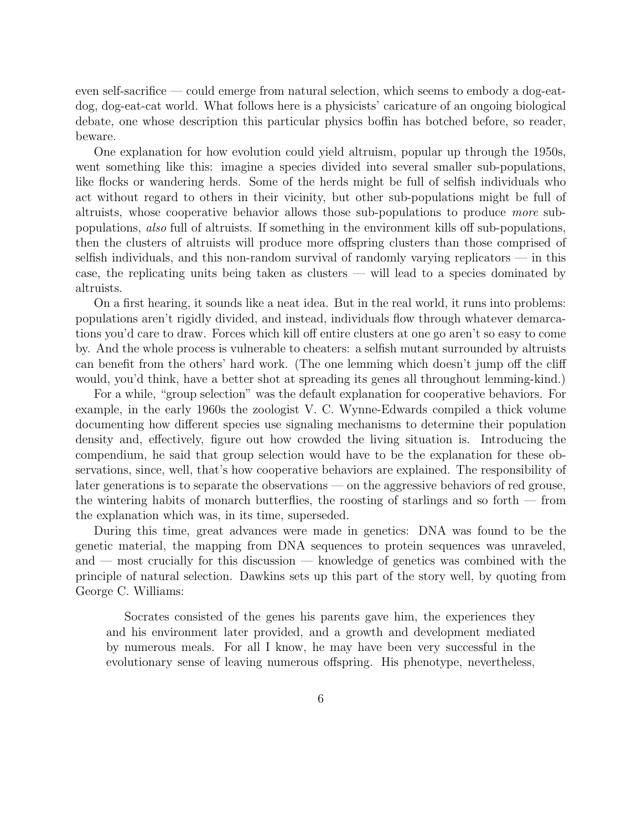even self-sacrifice — could emerge from natural selection, which seems to embody a dog-eatdog, dog-eat-cat world. What follows here is a physicists' caricature of an ongoing biological debate, one whose description this particular physics boffin has botched before, so reader, beware.

One explanation for how evolution could yield altruism, popular up through the 1950s, went something like this: imagine a species divided into several smaller sub-populations, like flocks or wandering herds. Some of the herds might be full of selfish individuals who act without regard to others in their vicinity, but other sub-populations might be full of altruists, whose cooperative behavior allows those sub-populations to produce more subpopulations, also full of altruists. If something in the environment kills off sub-populations, then the clusters of altruists will produce more offspring clusters than those comprised of selfish individuals, and this non-random survival of randomly varying replicators — in this case, the replicating units being taken as clusters — will lead to a species dominated by altruists.

On a first hearing, it sounds like a neat idea. But in the real world, it runs into problems: populations aren't rigidly divided, and instead, individuals flow through whatever demarcations you'd care to draw. Forces which kill off entire clusters at one go aren't so easy to come by. And the whole process is vulnerable to cheaters: a selfish mutant surrounded by altruists can benefit from the others' hard work. (The one lemming which doesn't jump off the cliff would, you'd think, have a better shot at spreading its genes all throughout lemming-kind.)

For a while, "group selection" was the default explanation for cooperative behaviors. For example, in the early 1960s the zoologist V. C. Wynne-Edwards compiled a thick volume documenting how different species use signaling mechanisms to determine their population density and, effectively, figure out how crowded the living situation is. Introducing the compendium, he said that group selection would have to be the explanation for these observations, since, well, that's how cooperative behaviors are explained. The responsibility of later generations is to separate the observations — on the aggressive behaviors of red grouse, the wintering habits of monarch butterflies, the roosting of starlings and so forth — from the explanation which was, in its time, superseded.

During this time, great advances were made in genetics: DNA was found to be the genetic material, the mapping from DNA sequences to protein sequences was unraveled, and — most crucially for this discussion — knowledge of genetics was combined with the principle of natural selection. Dawkins sets up this part of the story well, by quoting from George C. Williams:

Socrates consisted of the genes his parents gave him, the experiences they and his environment later provided, and a growth and development mediated by numerous meals. For all I know, he may have been very successful in the evolutionary sense of leaving numerous offspring. His phenotype, nevertheless,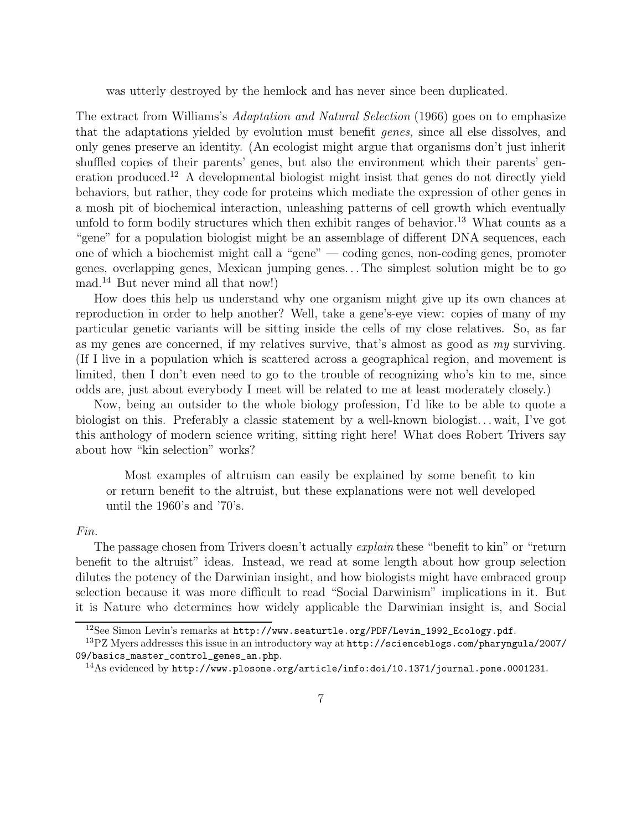was utterly destroyed by the hemlock and has never since been duplicated.

The extract from Williams's Adaptation and Natural Selection (1966) goes on to emphasize that the adaptations yielded by evolution must benefit genes, since all else dissolves, and only genes preserve an identity. (An ecologist might argue that organisms don't just inherit shuffled copies of their parents' genes, but also the environment which their parents' generation produced.<sup>12</sup> A developmental biologist might insist that genes do not directly yield behaviors, but rather, they code for proteins which mediate the expression of other genes in a mosh pit of biochemical interaction, unleashing patterns of cell growth which eventually unfold to form bodily structures which then exhibit ranges of behavior.<sup>13</sup> What counts as a "gene" for a population biologist might be an assemblage of different DNA sequences, each one of which a biochemist might call a "gene" — coding genes, non-coding genes, promoter genes, overlapping genes, Mexican jumping genes. . . The simplest solution might be to go mad.<sup>14</sup> But never mind all that now!)

How does this help us understand why one organism might give up its own chances at reproduction in order to help another? Well, take a gene's-eye view: copies of many of my particular genetic variants will be sitting inside the cells of my close relatives. So, as far as my genes are concerned, if my relatives survive, that's almost as good as my surviving. (If I live in a population which is scattered across a geographical region, and movement is limited, then I don't even need to go to the trouble of recognizing who's kin to me, since odds are, just about everybody I meet will be related to me at least moderately closely.)

Now, being an outsider to the whole biology profession, I'd like to be able to quote a biologist on this. Preferably a classic statement by a well-known biologist... wait, I've got this anthology of modern science writing, sitting right here! What does Robert Trivers say about how "kin selection" works?

Most examples of altruism can easily be explained by some benefit to kin or return benefit to the altruist, but these explanations were not well developed until the 1960's and '70's.

#### Fin.

The passage chosen from Trivers doesn't actually *explain* these "benefit to kin" or "return benefit to the altruist" ideas. Instead, we read at some length about how group selection dilutes the potency of the Darwinian insight, and how biologists might have embraced group selection because it was more difficult to read "Social Darwinism" implications in it. But it is Nature who determines how widely applicable the Darwinian insight is, and Social

<sup>&</sup>lt;sup>12</sup>See Simon Levin's remarks at http://www.seaturtle.org/PDF/Levin\_1992\_Ecology.pdf.

<sup>13</sup>PZ Myers addresses this issue in an introductory way at http://scienceblogs.com/pharyngula/2007/ 09/basics\_master\_control\_genes\_an.php.

 $14$ As evidenced by http://www.plosone.org/article/info:doi/10.1371/journal.pone.0001231.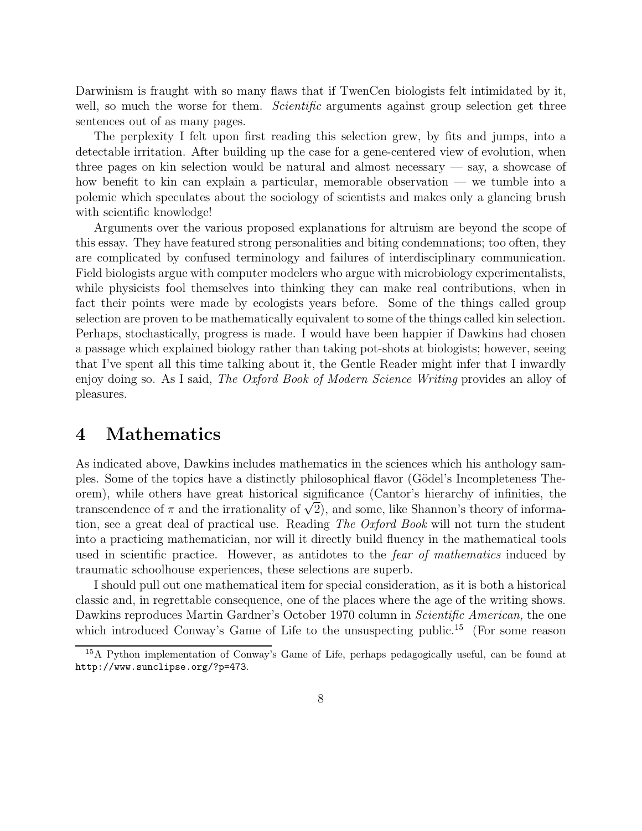Darwinism is fraught with so many flaws that if TwenCen biologists felt intimidated by it, well, so much the worse for them. *Scientific* arguments against group selection get three sentences out of as many pages.

The perplexity I felt upon first reading this selection grew, by fits and jumps, into a detectable irritation. After building up the case for a gene-centered view of evolution, when three pages on kin selection would be natural and almost necessary  $-$  say, a showcase of how benefit to kin can explain a particular, memorable observation — we tumble into a polemic which speculates about the sociology of scientists and makes only a glancing brush with scientific knowledge!

Arguments over the various proposed explanations for altruism are beyond the scope of this essay. They have featured strong personalities and biting condemnations; too often, they are complicated by confused terminology and failures of interdisciplinary communication. Field biologists argue with computer modelers who argue with microbiology experimentalists, while physicists fool themselves into thinking they can make real contributions, when in fact their points were made by ecologists years before. Some of the things called group selection are proven to be mathematically equivalent to some of the things called kin selection. Perhaps, stochastically, progress is made. I would have been happier if Dawkins had chosen a passage which explained biology rather than taking pot-shots at biologists; however, seeing that I've spent all this time talking about it, the Gentle Reader might infer that I inwardly enjoy doing so. As I said, The Oxford Book of Modern Science Writing provides an alloy of pleasures.

## 4 Mathematics

As indicated above, Dawkins includes mathematics in the sciences which his anthology samples. Some of the topics have a distinctly philosophical flavor (G¨odel's Incompleteness Theorem), while others have great historical significance (Cantor's hierarchy of infinities, the transcendence of  $\pi$  and the irrationality of  $\sqrt{2}$ ), and some, like Shannon's theory of information, see a great deal of practical use. Reading The Oxford Book will not turn the student into a practicing mathematician, nor will it directly build fluency in the mathematical tools used in scientific practice. However, as antidotes to the *fear of mathematics* induced by traumatic schoolhouse experiences, these selections are superb.

I should pull out one mathematical item for special consideration, as it is both a historical classic and, in regrettable consequence, one of the places where the age of the writing shows. Dawkins reproduces Martin Gardner's October 1970 column in *Scientific American*, the one which introduced Conway's Game of Life to the unsuspecting public.<sup>15</sup> (For some reason

<sup>15</sup>A Python implementation of Conway's Game of Life, perhaps pedagogically useful, can be found at http://www.sunclipse.org/?p=473.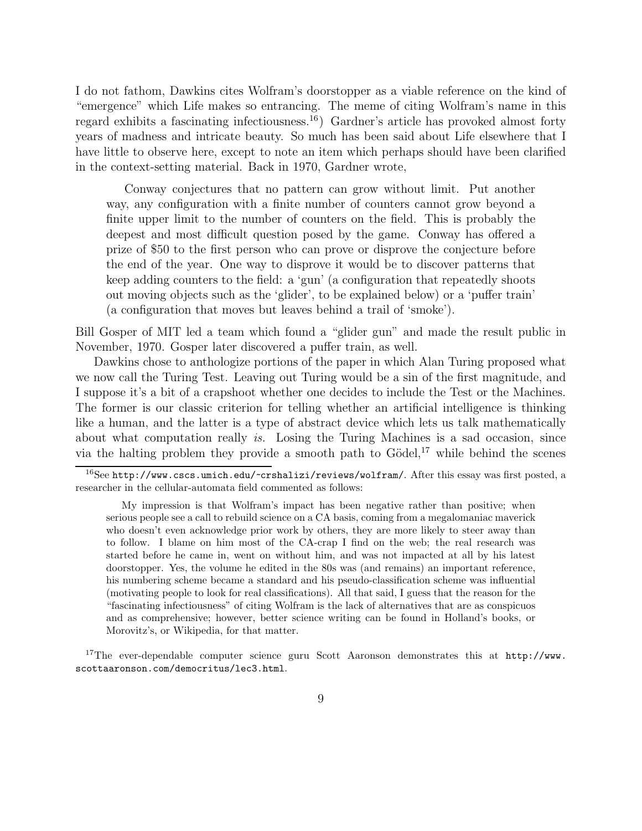I do not fathom, Dawkins cites Wolfram's doorstopper as a viable reference on the kind of "emergence" which Life makes so entrancing. The meme of citing Wolfram's name in this regard exhibits a fascinating infectiousness.<sup>16</sup>) Gardner's article has provoked almost forty years of madness and intricate beauty. So much has been said about Life elsewhere that I have little to observe here, except to note an item which perhaps should have been clarified in the context-setting material. Back in 1970, Gardner wrote,

Conway conjectures that no pattern can grow without limit. Put another way, any configuration with a finite number of counters cannot grow beyond a finite upper limit to the number of counters on the field. This is probably the deepest and most difficult question posed by the game. Conway has offered a prize of \$50 to the first person who can prove or disprove the conjecture before the end of the year. One way to disprove it would be to discover patterns that keep adding counters to the field: a 'gun' (a configuration that repeatedly shoots out moving objects such as the 'glider', to be explained below) or a 'puffer train' (a configuration that moves but leaves behind a trail of 'smoke').

Bill Gosper of MIT led a team which found a "glider gun" and made the result public in November, 1970. Gosper later discovered a puffer train, as well.

Dawkins chose to anthologize portions of the paper in which Alan Turing proposed what we now call the Turing Test. Leaving out Turing would be a sin of the first magnitude, and I suppose it's a bit of a crapshoot whether one decides to include the Test or the Machines. The former is our classic criterion for telling whether an artificial intelligence is thinking like a human, and the latter is a type of abstract device which lets us talk mathematically about what computation really is. Losing the Turing Machines is a sad occasion, since via the halting problem they provide a smooth path to  $Gödel$ <sup>17</sup>, while behind the scenes

<sup>17</sup>The ever-dependable computer science guru Scott Aaronson demonstrates this at  $http://www.$ scottaaronson.com/democritus/lec3.html.

 $16$ See http://www.cscs.umich.edu/~crshalizi/reviews/wolfram/. After this essay was first posted, a researcher in the cellular-automata field commented as follows:

My impression is that Wolfram's impact has been negative rather than positive; when serious people see a call to rebuild science on a CA basis, coming from a megalomaniac maverick who doesn't even acknowledge prior work by others, they are more likely to steer away than to follow. I blame on him most of the CA-crap I find on the web; the real research was started before he came in, went on without him, and was not impacted at all by his latest doorstopper. Yes, the volume he edited in the 80s was (and remains) an important reference, his numbering scheme became a standard and his pseudo-classification scheme was influential (motivating people to look for real classifications). All that said, I guess that the reason for the "fascinating infectiousness" of citing Wolfram is the lack of alternatives that are as conspicuos and as comprehensive; however, better science writing can be found in Holland's books, or Morovitz's, or Wikipedia, for that matter.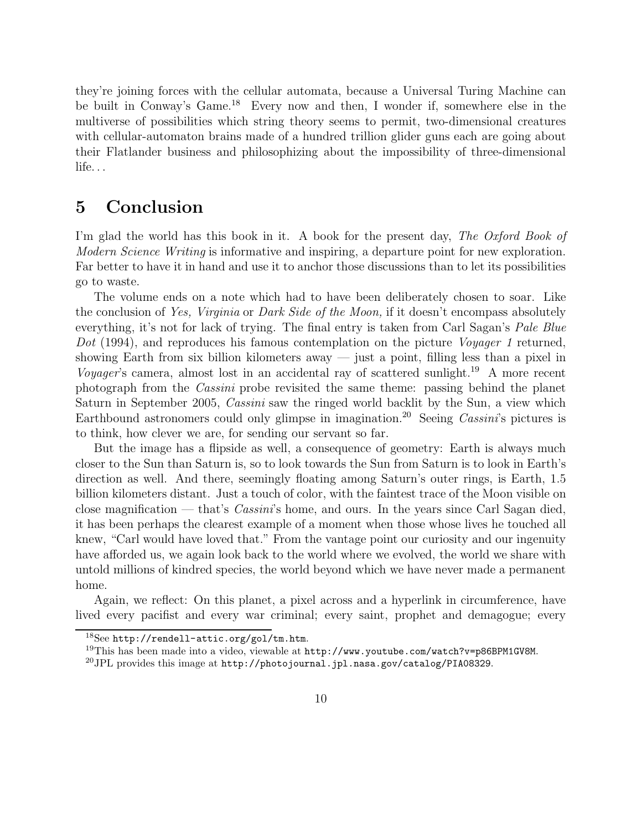they're joining forces with the cellular automata, because a Universal Turing Machine can be built in Conway's Game.<sup>18</sup> Every now and then, I wonder if, somewhere else in the multiverse of possibilities which string theory seems to permit, two-dimensional creatures with cellular-automaton brains made of a hundred trillion glider guns each are going about their Flatlander business and philosophizing about the impossibility of three-dimensional life. . .

### 5 Conclusion

I'm glad the world has this book in it. A book for the present day, The Oxford Book of Modern Science Writing is informative and inspiring, a departure point for new exploration. Far better to have it in hand and use it to anchor those discussions than to let its possibilities go to waste.

The volume ends on a note which had to have been deliberately chosen to soar. Like the conclusion of Yes, Virginia or Dark Side of the Moon, if it doesn't encompass absolutely everything, it's not for lack of trying. The final entry is taken from Carl Sagan's *Pale Blue* Dot (1994), and reproduces his famous contemplation on the picture *Voyager 1* returned, showing Earth from six billion kilometers away — just a point, filling less than a pixel in Voyager's camera, almost lost in an accidental ray of scattered sunlight.<sup>19</sup> A more recent photograph from the Cassini probe revisited the same theme: passing behind the planet Saturn in September 2005, Cassini saw the ringed world backlit by the Sun, a view which Earthbound astronomers could only glimpse in imagination.<sup>20</sup> Seeing *Cassini*'s pictures is to think, how clever we are, for sending our servant so far.

But the image has a flipside as well, a consequence of geometry: Earth is always much closer to the Sun than Saturn is, so to look towards the Sun from Saturn is to look in Earth's direction as well. And there, seemingly floating among Saturn's outer rings, is Earth, 1.5 billion kilometers distant. Just a touch of color, with the faintest trace of the Moon visible on close magnification — that's Cassini's home, and ours. In the years since Carl Sagan died, it has been perhaps the clearest example of a moment when those whose lives he touched all knew, "Carl would have loved that." From the vantage point our curiosity and our ingenuity have afforded us, we again look back to the world where we evolved, the world we share with untold millions of kindred species, the world beyond which we have never made a permanent home.

Again, we reflect: On this planet, a pixel across and a hyperlink in circumference, have lived every pacifist and every war criminal; every saint, prophet and demagogue; every

<sup>18</sup>See http://rendell-attic.org/gol/tm.htm.

 $^{19}$ This has been made into a video, viewable at  $http://www.youtube.com/watch?v=p86BPM1GV8M$ .

<sup>&</sup>lt;sup>20</sup>JPL provides this image at http://photojournal.jpl.nasa.gov/catalog/PIA08329.